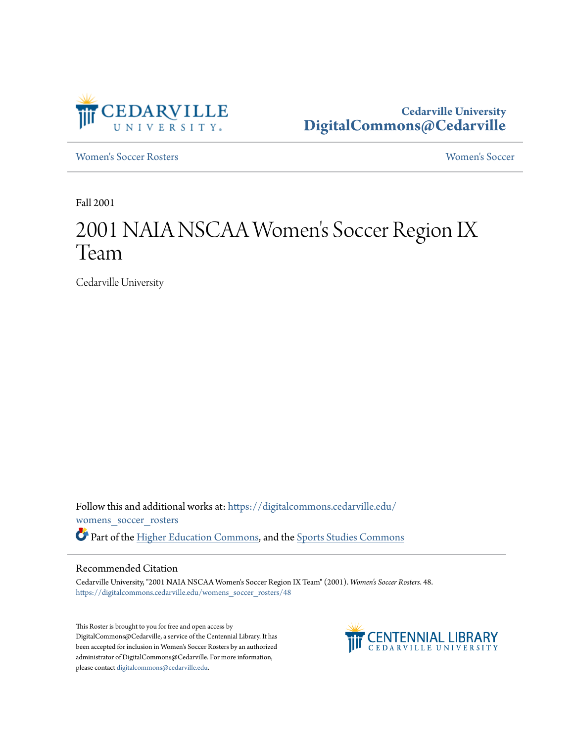

**Cedarville University [DigitalCommons@Cedarville](https://digitalcommons.cedarville.edu?utm_source=digitalcommons.cedarville.edu%2Fwomens_soccer_rosters%2F48&utm_medium=PDF&utm_campaign=PDFCoverPages)**

[Women's Soccer Rosters](https://digitalcommons.cedarville.edu/womens_soccer_rosters?utm_source=digitalcommons.cedarville.edu%2Fwomens_soccer_rosters%2F48&utm_medium=PDF&utm_campaign=PDFCoverPages) [Women's Soccer](https://digitalcommons.cedarville.edu/womens_soccer?utm_source=digitalcommons.cedarville.edu%2Fwomens_soccer_rosters%2F48&utm_medium=PDF&utm_campaign=PDFCoverPages)

Fall 2001

## 2001 NAIA NSCAA Women 's Soccer Region IX Team

Cedarville University

Follow this and additional works at: [https://digitalcommons.cedarville.edu/](https://digitalcommons.cedarville.edu/womens_soccer_rosters?utm_source=digitalcommons.cedarville.edu%2Fwomens_soccer_rosters%2F48&utm_medium=PDF&utm_campaign=PDFCoverPages) [womens\\_soccer\\_rosters](https://digitalcommons.cedarville.edu/womens_soccer_rosters?utm_source=digitalcommons.cedarville.edu%2Fwomens_soccer_rosters%2F48&utm_medium=PDF&utm_campaign=PDFCoverPages) Part of the [Higher Education Commons](http://network.bepress.com/hgg/discipline/1245?utm_source=digitalcommons.cedarville.edu%2Fwomens_soccer_rosters%2F48&utm_medium=PDF&utm_campaign=PDFCoverPages), and the [Sports Studies Commons](http://network.bepress.com/hgg/discipline/1198?utm_source=digitalcommons.cedarville.edu%2Fwomens_soccer_rosters%2F48&utm_medium=PDF&utm_campaign=PDFCoverPages)

## Recommended Citation

Cedarville University, "2001 NAIA NSCAA Women's Soccer Region IX Team" (2001). *Women's Soccer Rosters*. 48. [https://digitalcommons.cedarville.edu/womens\\_soccer\\_rosters/48](https://digitalcommons.cedarville.edu/womens_soccer_rosters/48?utm_source=digitalcommons.cedarville.edu%2Fwomens_soccer_rosters%2F48&utm_medium=PDF&utm_campaign=PDFCoverPages)

This Roster is brought to you for free and open access by DigitalCommons@Cedarville, a service of the Centennial Library. It has been accepted for inclusion in Women's Soccer Rosters by an authorized administrator of DigitalCommons@Cedarville. For more information, please contact [digitalcommons@cedarville.edu.](mailto:digitalcommons@cedarville.edu)